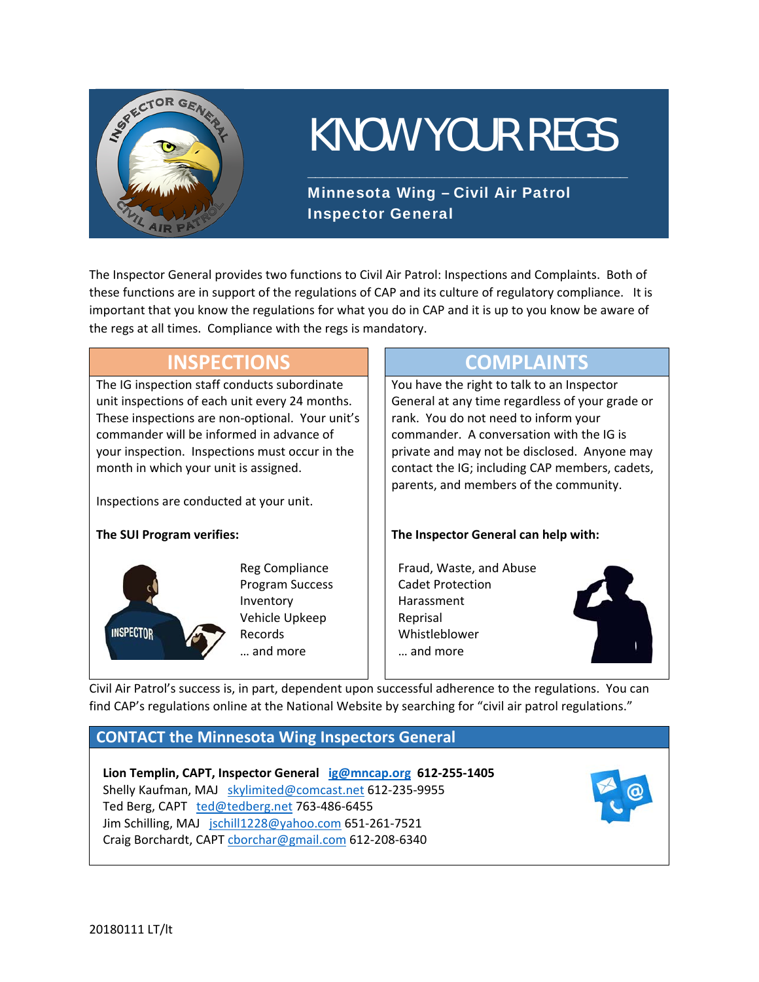

# KNOW YOUR REGS

\_\_\_\_\_\_\_\_\_\_\_\_\_\_\_\_\_\_\_\_\_\_\_\_\_\_\_\_\_\_\_\_\_\_\_\_\_\_\_\_\_\_\_

Minnesota Wing – Civil Air Patrol Inspector General

The Inspector General provides two functions to Civil Air Patrol: Inspections and Complaints. Both of these functions are in support of the regulations of CAP and its culture of regulatory compliance. It is important that you know the regulations for what you do in CAP and it is up to you know be aware of the regs at all times. Compliance with the regs is mandatory.

### **INSPECTIONS COMPLAINTS** The IG inspection staff conducts subordinate unit inspections of each unit every 24 months. These inspections are non‐optional. Your unit's commander will be informed in advance of your inspection. Inspections must occur in the month in which your unit is assigned.

Inspections are conducted at your unit.

#### **The SUI Program verifies:**



Reg Compliance Program Success Inventory Vehicle Upkeep Records … and more

 You have the right to talk to an Inspector General at any time regardless of your grade or rank. You do not need to inform your commander. A conversation with the IG is private and may not be disclosed. Anyone may contact the IG; including CAP members, cadets, parents, and members of the community.

#### **The Inspector General can help with:**

Fraud, Waste, and Abuse Cadet Protection Harassment Reprisal Whistleblower … and more



Civil Air Patrol's success is, in part, dependent upon successful adherence to the regulations. You can find CAP's regulations online at the National Website by searching for "civil air patrol regulations."

### **CONTACT the Minnesota Wing Inspectors General**

**Lion Templin, CAPT, Inspector General ig@mncap.org 612‐255‐1405**  Shelly Kaufman, MAJ skylimited@comcast.net 612‐235‐9955 Ted Berg, CAPT ted@tedberg.net 763-486-6455 Jim Schilling, MAJ jschill1228@yahoo.com 651-261-7521 Craig Borchardt, CAPT cborchar@gmail.com 612‐208‐6340